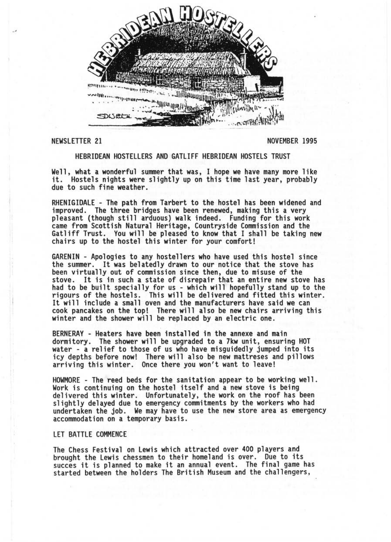

NEWSLETTER 21 NOVEMBER 1995

#### HEBRIDEAN HOSTELLERS AND GATLIFF HEBRIDEAN HOSTELS TRUST

Well, what a wonderful summer that was, I hope we have many more like it. Hostels nights were slightly up on this time last year, probably due to such fine weather.

RHENIGIDALE - The path from Tarbert to the hostel has been widened and<br>improved. The three bridges have been renewed, making this a very pleasant (though still arduous) walk indeed. Funding for this work came from Scottish Natural Heritage, Countryside Commission and the Gatliff Trust. You will be pleased to know that I shall be taking new chairs up to the hostel this winter for your comfort!

GARENIN - Apologies to any hostellers who have used this hostel since the summer. It was belatedly drawn to our notice that the stove has been virtually out of commission since then, due to misuse of the stove. It is in such a state of disrepair that an entire new stove has had to be built specially for us - which will hopefully stand up to the rigours of the hostels. This will be delivered and fitted this winter. It will include a small oven and the manufacturers have said we can cook pancakes on the top! There will also be new chairs arriving this winter and the shower will be replaced by an electric one.

BERNERAY - Heaters have been installed in the annexe and main dormitory. The shower will be upgraded to a 7kw unit, ensuring HOT water - a relief to those of us who have misguidedly jumped into its icy depths before now! There will also be new mattreses and pillows arriving this winter. Once there you won't want to leave!

HOWMORE - The reed beds for the sanitation appear to be working well . Work is continuing on the hostel itself and a new stove is being delivered this winter. Unfortunately, the work on the roof has been slightly delayed due to emergency commitments by the workers who had undertaken the job. We may have to use the new store area as emergency accommodation on a temporary basis.

# LET BATTLE COMMENCE

The Chess Festival on Lewis which attracted over 400 players and brought the Lewis chessmen to their homeland is over. Due to its succes it is planned to make it an annual event. The final game has started between the holders The British Museum and the challengers,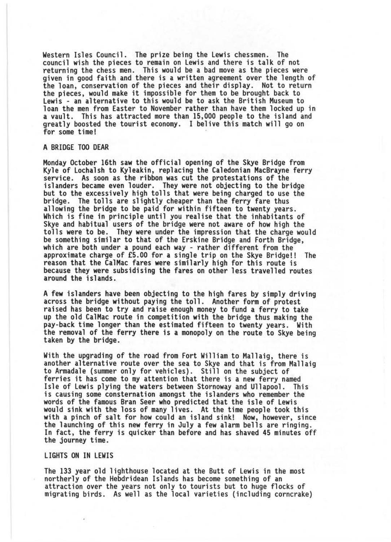Western Isles Council. The prize being the Lewis chessmen. The council wish the pieces to remain on Lewis and there is talk of not returning the chess men. This would be a bad move as the pieces were given in good faith and there is a written agreement over the length of the loan, conservation of the pieces and their display. Not to return the pieces, would make it impossible for them to be brought back to Lewis - an alternative to this would be to ask the British Museum to loan the men from Easter to November rather than have them locked up in a vault. This has attracted more than 15,000 people to the island and greatly boosted the tourist economy. I belive this match will go on for some time!

#### A BRIDGE TOO DEAR

Monday October 16th saw the official opening of the Skye Bridge from Kyle of Lochalsh to Kyleakin, replacing the Caledonian MacBrayne ferry service . As soon as the ribbon was cut the protestations of the islanders became even louder. They were not objecting to the bridge but to the excessively high tolls that were being charged to use the bridge. The tolls are slightly cheaper than the ferry fare thus<br>allowing the bridge to be paid for within fifteen to twenty years. allowing the bridge to be paid for within fifteen to twenty years.<br>Which is fine in principle until you realise that the inhabitants of Skye and habitual users of the bridge were not aware of how high the tolls were to be. They were under the impression that the charge would be something similar to that of the Erskine Bridge and Forth Bridge. which are both under a pound each way - rather different from the approximate charge of £5.00 for a single trip on the Skye Bridge!! The reason that the CalMac fares were similarly high for this route is because they were subsidising the fares on other less travelled routes around the islands.

A few islanders have been objecting to the high fares by simply driving across the bridge without paying the toll. Another form of protest raised has been to try and raise enough money to fund a ferry to take up the old Cal Mac route in competition with the bridge thus making the pay-back time longer than the estimated fifteen to twenty years . With the removal of the ferry there is a monopoly on the route to Skye being taken by the bridge .

With the upgrading of the road from Fort William to Mallaig, there is another alternative route over the sea to Skye and that is from Mallaig to Armadale (summer only for vehicles) . Still on the subject of ferries it has come to my attention that there is a new ferry named Isle of Lewis plying the waters between Stornoway and Ullapool. This is causing some consternation amongst the islanders who remember the words of the famous Bran Seer who predicted that the isle of Lewis would sink with the loss of many lives. At the time people took this with a pinch of salt for how could an island sink! Now, however, since the launching of this new ferry in July a few alarm bells are ringing. In fact, the ferry is quicker than before and has shaved 45 minutes off the journey time .

# LIGHTS ON IN LEWIS

The 133 year old lighthouse located at the Butt of Lewis in the most northerly of the Hebdridean Islands has become something of an attraction over the years not only to tourists but to huge flocks of migrating birds. As well as the local varieties (including corncrake)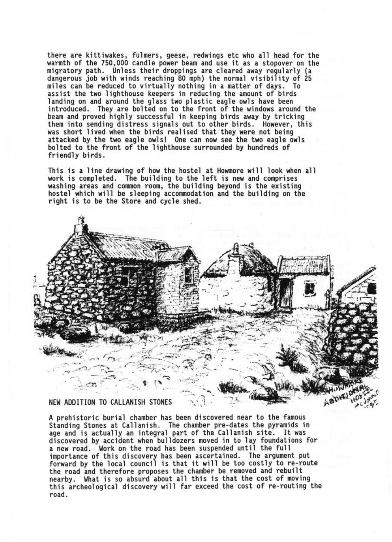there are kittiwakes, fulmers, geese, redwings etc who all head for the warmth of the 750 ,000 candle power beam and use it as a stopover on the migratory path. Unless their droppings are cleared away regularly (a dangerous job with winds reaching 80 mph) the normal visibility of 25 miles can be reduced to virtually nothing in a matter of days. To assist the two lighthouse keepers in reducing the amount of birds landing on and around the glass two plastic eagle owls have been introduced. They are bolted on to the front of the windows around the<br>beam and proved highly successful in keeping birds away by tricking them into sending distress signals out to other birds. However, this was short lived when the birds realised that they were not being attacked by the two eagle owls! One can now see the two eagle owls bolted to the front of the lighthouse surrounded by hundreds of friendly birds.

This is a line drawing of how the hostel at Howmore will look when all<br>work is completed. The building to the left is new and comprises washing areas and common room, the building beyond is the existing<br>hostel which will be sleeping accommodation and the building on the right is to be the Store and cycle shed.



A prehistoric burial chamber has been discovered near to the famous Standing Stones at Callanish. The chamber pre-dates the pyramids in age and is actually an integral part of the Callanish site. It was discovered by accident when bulldozers moved in to lay foundations for a new road. Work on the road has been suspended until the full importance of this discovery has been ascertained. The argument put<br>forward by the local council is that it will be too costly to re-route the road and therefore proposes the chamber be removed and rebuilt<br>nearby. What is so absurd about all this is that the cost of moving this archeological discovery will far exceed the cost of re-routing the road .